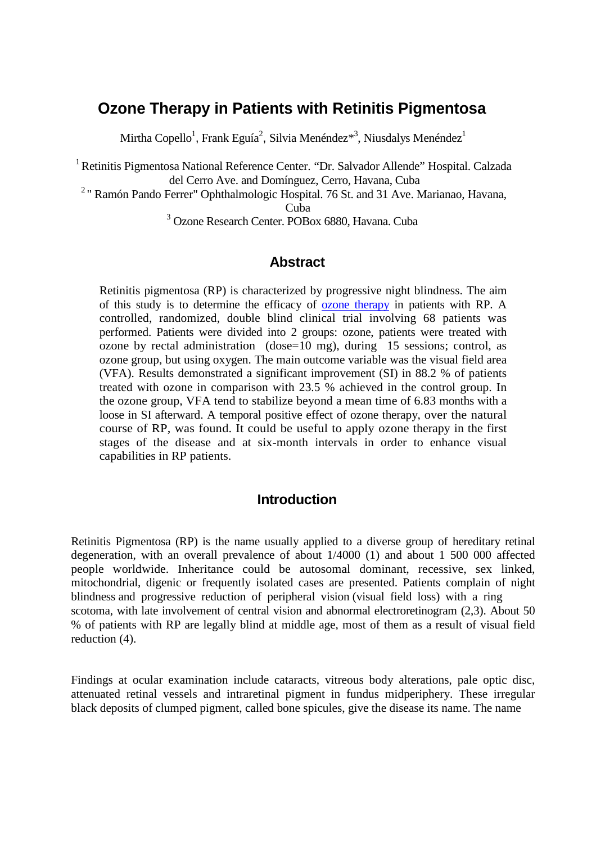# **Ozone Therapy in Patients with Retinitis Pigmentosa**

Mirtha Copello<sup>1</sup>, Frank Eguía<sup>2</sup>, Silvia Menéndez $^{*3}$ , Niusdalys Menéndez $^1$ 

1 Retinitis Pigmentosa National Reference Center. "Dr. Salvador Allende" Hospital. Calzada del Cerro Ave. and Domínguez, Cerro, Havana, Cuba

<sup>2</sup> " Ramón Pando Ferrer" Ophthalmologic Hospital. 76 St. and 31 Ave. Marianao, Havana,

Cuba

<sup>3</sup> Ozone Research Center. POBox 6880, Havana. Cuba

## **Abstract**

Retinitis pigmentosa (RP) is characterized by progressive night blindness. The aim of this study is to determine the efficacy of [ozone therapy](http://www.austinozone.com/) in patients with RP. A controlled, randomized, double blind clinical trial involving 68 patients was performed. Patients were divided into 2 groups: ozone, patients were treated with ozone by rectal administration (dose=10 mg), during 15 sessions; control, as ozone group, but using oxygen. The main outcome variable was the visual field area (VFA). Results demonstrated a significant improvement (SI) in 88.2 % of patients treated with ozone in comparison with 23.5 % achieved in the control group. In the ozone group, VFA tend to stabilize beyond a mean time of 6.83 months with a loose in SI afterward. A temporal positive effect of ozone therapy, over the natural course of RP, was found. It could be useful to apply ozone therapy in the first stages of the disease and at six-month intervals in order to enhance visual capabilities in RP patients.

#### **Introduction**

Retinitis Pigmentosa (RP) is the name usually applied to a diverse group of hereditary retinal degeneration, with an overall prevalence of about 1/4000 (1) and about 1 500 000 affected people worldwide. Inheritance could be autosomal dominant, recessive, sex linked, mitochondrial, digenic or frequently isolated cases are presented. Patients complain of night blindness and progressive reduction of peripheral vision (visual field loss) with a ring scotoma, with late involvement of central vision and abnormal electroretinogram (2,3). About 50 % of patients with RP are legally blind at middle age, most of them as a result of visual field reduction (4).

Findings at ocular examination include cataracts, vitreous body alterations, pale optic disc, attenuated retinal vessels and intraretinal pigment in fundus midperiphery. These irregular black deposits of clumped pigment, called bone spicules, give the disease its name. The name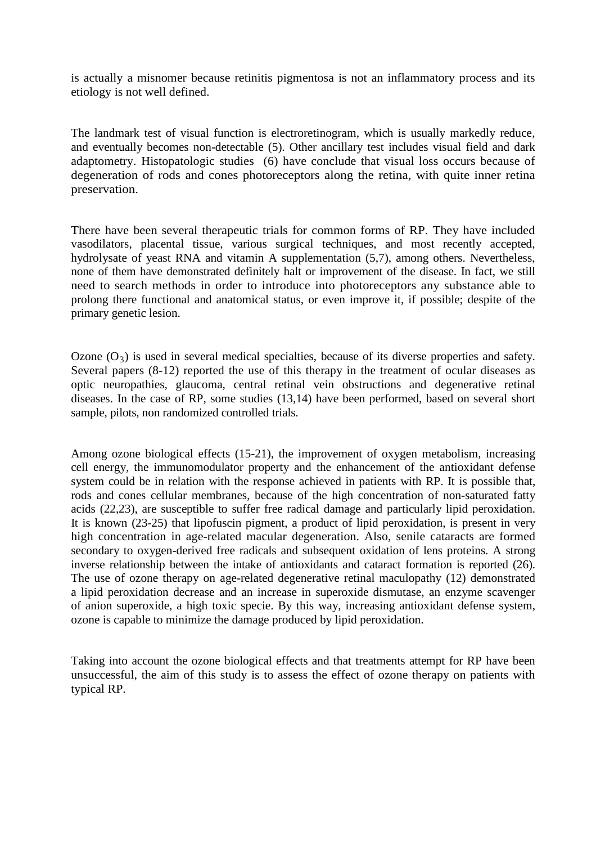is actually a misnomer because retinitis pigmentosa is not an inflammatory process and its etiology is not well defined.

The landmark test of visual function is electroretinogram, which is usually markedly reduce, and eventually becomes non-detectable (5). Other ancillary test includes visual field and dark adaptometry. Histopatologic studies (6) have conclude that visual loss occurs because of degeneration of rods and cones photoreceptors along the retina, with quite inner retina preservation.

There have been several therapeutic trials for common forms of RP. They have included vasodilators, placental tissue, various surgical techniques, and most recently accepted, hydrolysate of yeast RNA and vitamin A supplementation (5,7), among others. Nevertheless, none of them have demonstrated definitely halt or improvement of the disease. In fact, we still need to search methods in order to introduce into photoreceptors any substance able to prolong there functional and anatomical status, or even improve it, if possible; despite of the primary genetic lesion.

Ozone  $(O_3)$  is used in several medical specialties, because of its diverse properties and safety. Several papers (8-12) reported the use of this therapy in the treatment of ocular diseases as optic neuropathies, glaucoma, central retinal vein obstructions and degenerative retinal diseases. In the case of RP, some studies (13,14) have been performed, based on several short sample, pilots, non randomized controlled trials.

Among ozone biological effects (15-21), the improvement of oxygen metabolism, increasing cell energy, the immunomodulator property and the enhancement of the antioxidant defense system could be in relation with the response achieved in patients with RP. It is possible that, rods and cones cellular membranes, because of the high concentration of non-saturated fatty acids (22,23), are susceptible to suffer free radical damage and particularly lipid peroxidation. It is known (23-25) that lipofuscin pigment, a product of lipid peroxidation, is present in very high concentration in age-related macular degeneration. Also, senile cataracts are formed secondary to oxygen-derived free radicals and subsequent oxidation of lens proteins. A strong inverse relationship between the intake of antioxidants and cataract formation is reported (26). The use of ozone therapy on age-related degenerative retinal maculopathy (12) demonstrated a lipid peroxidation decrease and an increase in superoxide dismutase, an enzyme scavenger of anion superoxide, a high toxic specie. By this way, increasing antioxidant defense system, ozone is capable to minimize the damage produced by lipid peroxidation.

Taking into account the ozone biological effects and that treatments attempt for RP have been unsuccessful, the aim of this study is to assess the effect of ozone therapy on patients with typical RP.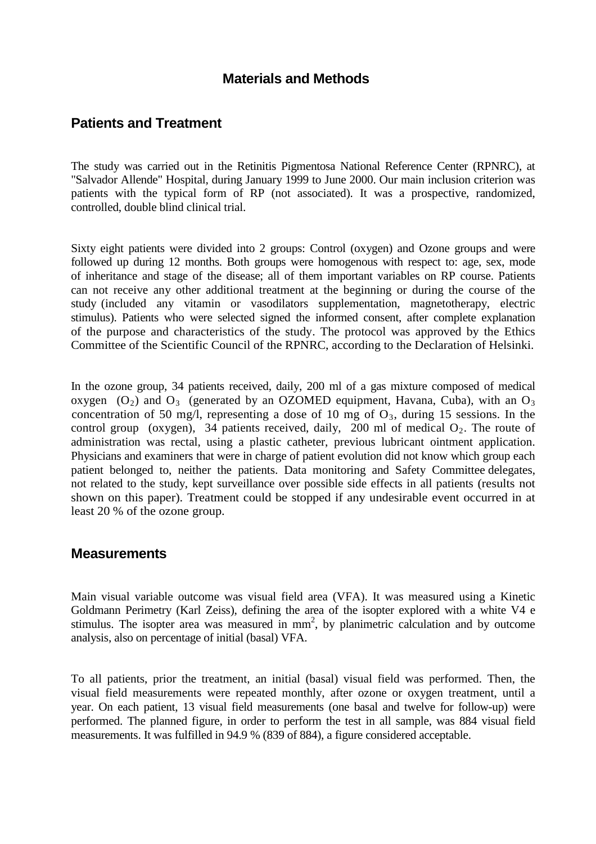## **Materials and Methods**

## **Patients and Treatment**

The study was carried out in the Retinitis Pigmentosa National Reference Center (RPNRC), at "Salvador Allende" Hospital, during January 1999 to June 2000. Our main inclusion criterion was patients with the typical form of RP (not associated). It was a prospective, randomized, controlled, double blind clinical trial.

Sixty eight patients were divided into 2 groups: Control (oxygen) and Ozone groups and were followed up during 12 months. Both groups were homogenous with respect to: age, sex, mode of inheritance and stage of the disease; all of them important variables on RP course. Patients can not receive any other additional treatment at the beginning or during the course of the study (included any vitamin or vasodilators supplementation, magnetotherapy, electric stimulus). Patients who were selected signed the informed consent, after complete explanation of the purpose and characteristics of the study. The protocol was approved by the Ethics Committee of the Scientific Council of the RPNRC, according to the Declaration of Helsinki.

In the ozone group, 34 patients received, daily, 200 ml of a gas mixture composed of medical oxygen  $(O_2)$  and  $O_3$  (generated by an OZOMED equipment, Havana, Cuba), with an  $O_3$ concentration of 50 mg/l, representing a dose of 10 mg of  $O_3$ , during 15 sessions. In the control group (oxygen), 34 patients received, daily, 200 ml of medical  $O_2$ . The route of administration was rectal, using a plastic catheter, previous lubricant ointment application. Physicians and examiners that were in charge of patient evolution did not know which group each patient belonged to, neither the patients. Data monitoring and Safety Committee delegates, not related to the study, kept surveillance over possible side effects in all patients (results not shown on this paper). Treatment could be stopped if any undesirable event occurred in at least 20 % of the ozone group.

#### **Measurements**

Main visual variable outcome was visual field area (VFA). It was measured using a Kinetic Goldmann Perimetry (Karl Zeiss), defining the area of the isopter explored with a white V4 e stimulus. The isopter area was measured in  $mm<sup>2</sup>$ , by planimetric calculation and by outcome analysis, also on percentage of initial (basal) VFA.

To all patients, prior the treatment, an initial (basal) visual field was performed. Then, the visual field measurements were repeated monthly, after ozone or oxygen treatment, until a year. On each patient, 13 visual field measurements (one basal and twelve for follow-up) were performed. The planned figure, in order to perform the test in all sample, was 884 visual field measurements. It was fulfilled in 94.9 % (839 of 884), a figure considered acceptable.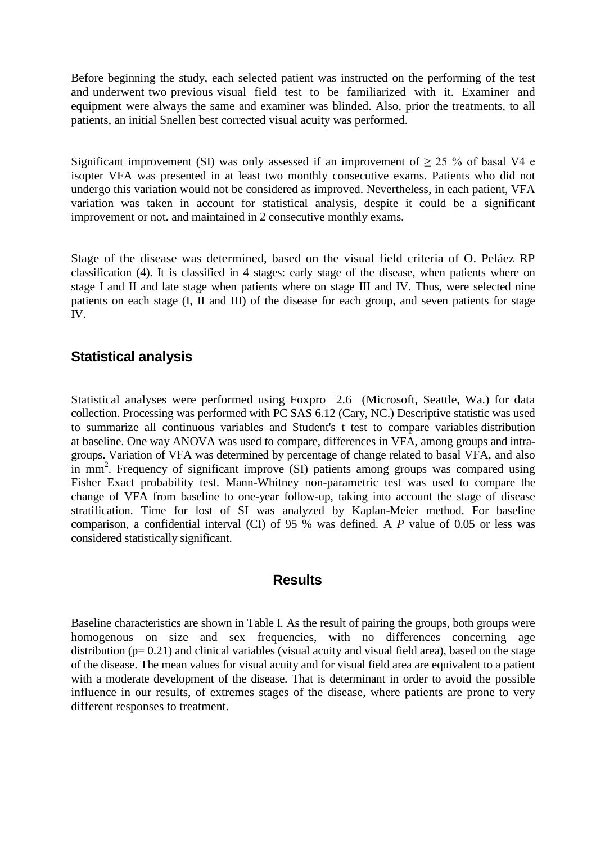Before beginning the study, each selected patient was instructed on the performing of the test and underwent two previous visual field test to be familiarized with it. Examiner and equipment were always the same and examiner was blinded. Also, prior the treatments, to all patients, an initial Snellen best corrected visual acuity was performed.

Significant improvement (SI) was only assessed if an improvement of  $\geq$  25 % of basal V4 e isopter VFA was presented in at least two monthly consecutive exams. Patients who did not undergo this variation would not be considered as improved. Nevertheless, in each patient, VFA variation was taken in account for statistical analysis, despite it could be a significant improvement or not. and maintained in 2 consecutive monthly exams.

Stage of the disease was determined, based on the visual field criteria of O. Peláez RP classification (4). It is classified in 4 stages: early stage of the disease, when patients where on stage I and II and late stage when patients where on stage III and IV. Thus, were selected nine patients on each stage (I, II and III) of the disease for each group, and seven patients for stage IV.

# **Statistical analysis**

Statistical analyses were performed using Foxpro 2.6 (Microsoft, Seattle, Wa.) for data collection. Processing was performed with PC SAS 6.12 (Cary, NC.) Descriptive statistic was used to summarize all continuous variables and Student's t test to compare variables distribution at baseline. One way ANOVA was used to compare, differences in VFA, among groups and intragroups. Variation of VFA was determined by percentage of change related to basal VFA, and also in mm<sup>2</sup>. Frequency of significant improve (SI) patients among groups was compared using Fisher Exact probability test. Mann-Whitney non-parametric test was used to compare the change of VFA from baseline to one-year follow-up, taking into account the stage of disease stratification. Time for lost of SI was analyzed by Kaplan-Meier method. For baseline comparison, a confidential interval (CI) of 95 % was defined. A *P* value of 0.05 or less was considered statistically significant.

# **Results**

Baseline characteristics are shown in Table I. As the result of pairing the groups, both groups were homogenous on size and sex frequencies, with no differences concerning age distribution ( $p= 0.21$ ) and clinical variables (visual acuity and visual field area), based on the stage of the disease. The mean values for visual acuity and for visual field area are equivalent to a patient with a moderate development of the disease. That is determinant in order to avoid the possible influence in our results, of extremes stages of the disease, where patients are prone to very different responses to treatment.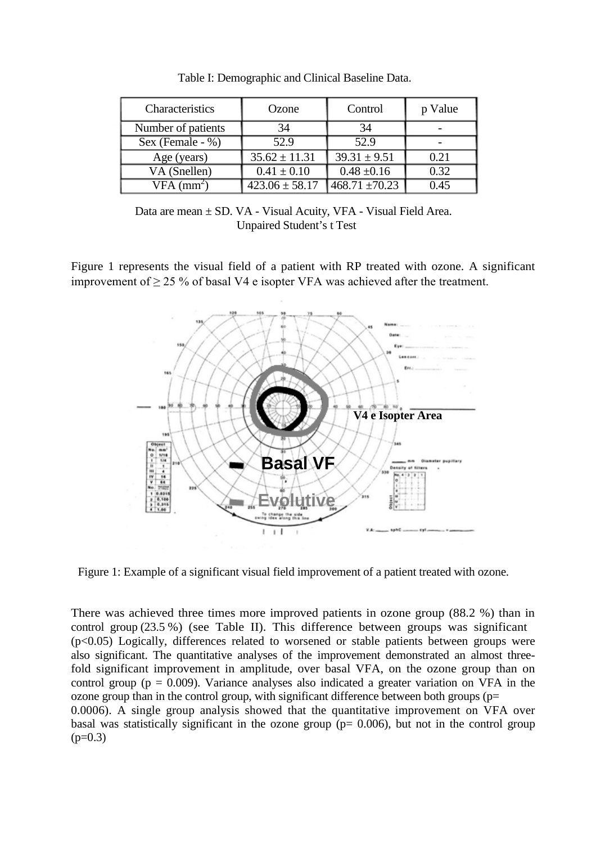| Characteristics            | Ozone              | Control             | p Value |
|----------------------------|--------------------|---------------------|---------|
| Number of patients         | 34                 | 34                  |         |
| Sex (Female - $\%$ )       | 52.9               | 52.9                |         |
| Age (years)                | $35.62 \pm 11.31$  | $39.31 \pm 9.51$    | 0.21    |
| VA (Snellen)               | $0.41 \pm 0.10$    | $0.48 \pm 0.16$     | 0.32    |
| $\overline{VFA \, (mm^2)}$ | $423.06 \pm 58.17$ | $1468.71 \pm 70.23$ | 0.45    |

Table I: Demographic and Clinical Baseline Data.

Data are mean  $\pm$  SD. VA - Visual Acuity, VFA - Visual Field Area. Unpaired Student's t Test

Figure 1 represents the visual field of a patient with RP treated with ozone. A significant improvement of  $\geq$  25 % of basal V4 e isopter VFA was achieved after the treatment.



Figure 1: Example of a significant visual field improvement of a patient treated with ozone.

There was achieved three times more improved patients in ozone group (88.2 %) than in control group (23.5 %) (see Table II). This difference between groups was significant (p<0.05) Logically, differences related to worsened or stable patients between groups were also significant. The quantitative analyses of the improvement demonstrated an almost threefold significant improvement in amplitude, over basal VFA, on the ozone group than on control group ( $p = 0.009$ ). Variance analyses also indicated a greater variation on VFA in the ozone group than in the control group, with significant difference between both groups ( $p=$ 0.0006). A single group analysis showed that the quantitative improvement on VFA over basal was statistically significant in the ozone group ( $p= 0.006$ ), but not in the control group  $(p=0.3)$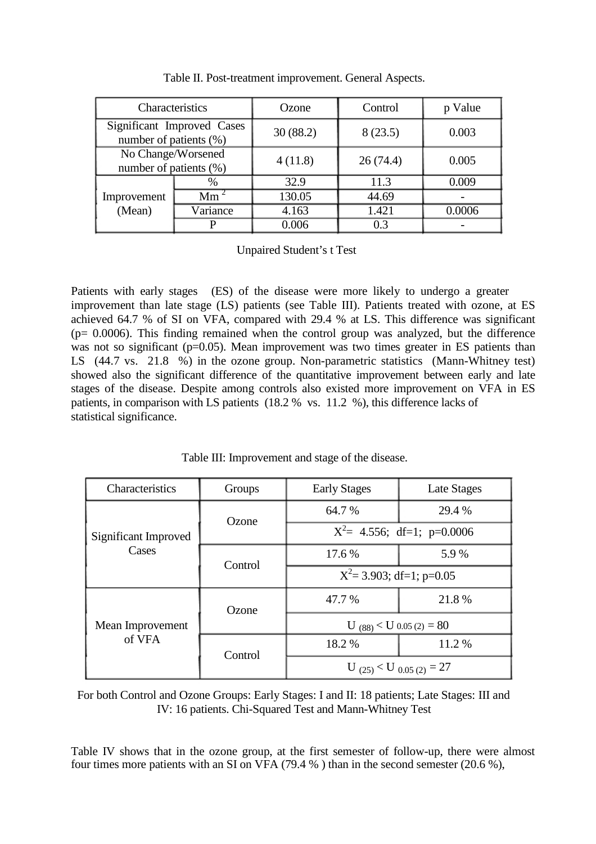| Characteristics                                      |                 | Ozone    | Control  | p Value |
|------------------------------------------------------|-----------------|----------|----------|---------|
| Significant Improved Cases<br>number of patients (%) |                 | 30(88.2) | 8(23.5)  | 0.003   |
| No Change/Worsened<br>number of patients (%)         |                 | 4(11.8)  | 26(74.4) | 0.005   |
|                                                      | %               | 32.9     | 11.3     | 0.009   |
| Improvement                                          | Mm <sup>2</sup> | 130.05   | 44.69    |         |
| (Mean)                                               | Variance        | 4.163    | 1.421    | 0.0006  |
|                                                      |                 | 0.006    | 0.3      |         |

Table II. Post-treatment improvement. General Aspects.

Unpaired Student's t Test

Patients with early stages (ES) of the disease were more likely to undergo a greater improvement than late stage (LS) patients (see Table III). Patients treated with ozone, at ES achieved 64.7 % of SI on VFA, compared with 29.4 % at LS. This difference was significant (p= 0.0006). This finding remained when the control group was analyzed, but the difference was not so significant (p=0.05). Mean improvement was two times greater in ES patients than LS (44.7 vs. 21.8 %) in the ozone group. Non-parametric statistics (Mann-Whitney test) showed also the significant difference of the quantitative improvement between early and late stages of the disease. Despite among controls also existed more improvement on VFA in ES patients, in comparison with LS patients (18.2 % vs. 11.2 %), this difference lacks of statistical significance.

Table III: Improvement and stage of the disease.

| Characteristics               | Groups  | <b>Early Stages</b>            | Late Stages                |  |
|-------------------------------|---------|--------------------------------|----------------------------|--|
| Significant Improved<br>Cases | Ozone   | 64.7 %                         | 29.4 %                     |  |
|                               |         | $X^2$ = 4.556; df=1; p=0.0006  |                            |  |
|                               | Control | 17.6 %                         | 5.9%                       |  |
|                               |         | $X^2$ = 3.903; df=1; p=0.05    |                            |  |
| Mean Improvement<br>of VFA    | Ozone   | 47.7 %                         | 21.8%                      |  |
|                               |         |                                | U $(88)$ < U 0.05 (2) = 80 |  |
|                               | Control | 18.2 %                         | 11.2%                      |  |
|                               |         | U $(25)$ < U $_{0.05(2)} = 27$ |                            |  |

For both Control and Ozone Groups: Early Stages: I and II: 18 patients; Late Stages: III and IV: 16 patients. Chi-Squared Test and Mann-Whitney Test

Table IV shows that in the ozone group, at the first semester of follow-up, there were almost four times more patients with an SI on VFA (79.4 % ) than in the second semester (20.6 %),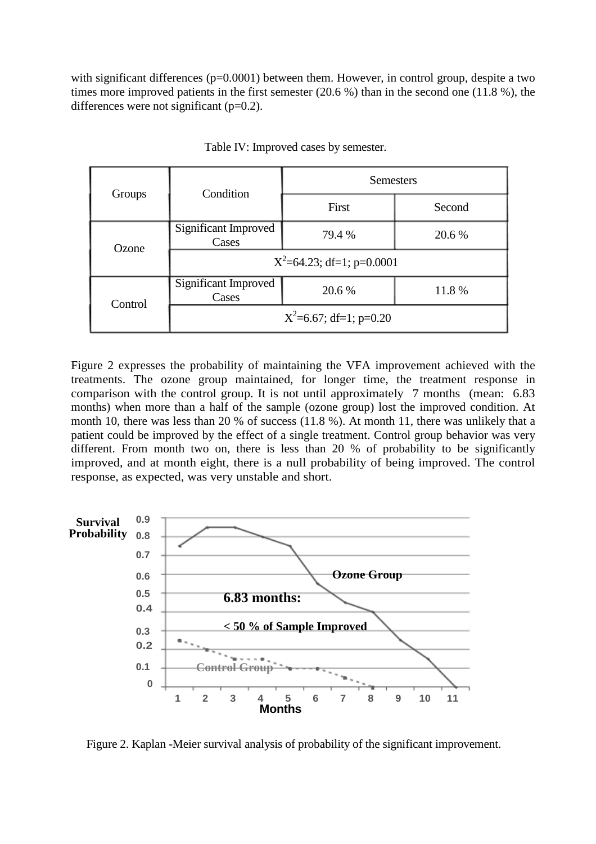with significant differences (p=0.0001) between them. However, in control group, despite a two times more improved patients in the first semester (20.6 %) than in the second one (11.8 %), the differences were not significant  $(p=0.2)$ .

| Groups  | Condition                     | <b>Semesters</b>          |        |  |
|---------|-------------------------------|---------------------------|--------|--|
|         |                               | First                     | Second |  |
| Ozone   | Significant Improved<br>Cases | 79.4 %                    | 20.6 % |  |
|         | $X^2$ =64.23; df=1; p=0.0001  |                           |        |  |
| Control | Significant Improved<br>Cases | 20.6 %                    | 11.8%  |  |
|         |                               | $X^2=6.67$ ; df=1; p=0.20 |        |  |

Table IV: Improved cases by semester.

Figure 2 expresses the probability of maintaining the VFA improvement achieved with the treatments. The ozone group maintained, for longer time, the treatment response in comparison with the control group. It is not until approximately 7 months (mean: 6.83 months) when more than a half of the sample (ozone group) lost the improved condition. At month 10, there was less than 20 % of success (11.8 %). At month 11, there was unlikely that a patient could be improved by the effect of a single treatment. Control group behavior was very different. From month two on, there is less than 20 % of probability to be significantly improved, and at month eight, there is a null probability of being improved. The control response, as expected, was very unstable and short.



Figure 2. Kaplan -Meier survival analysis of probability of the significant improvement.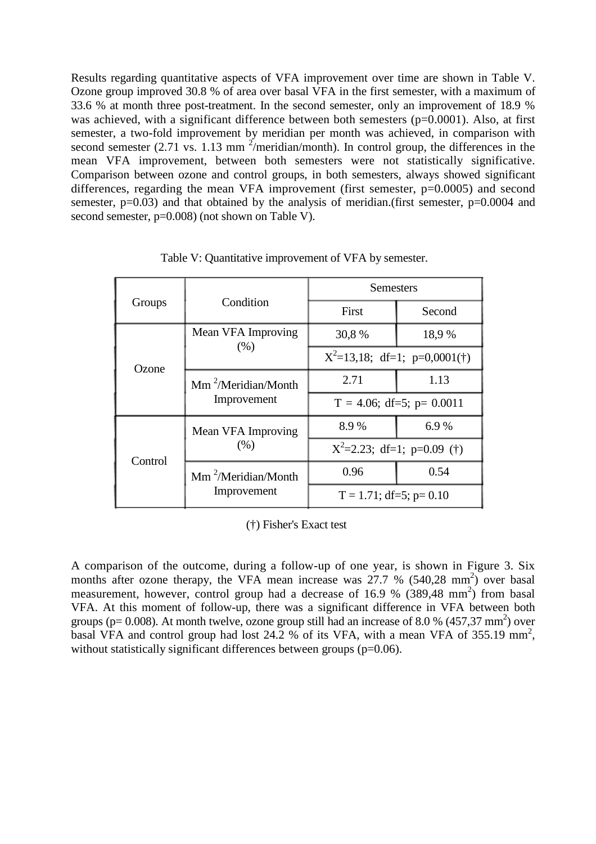Results regarding quantitative aspects of VFA improvement over time are shown in Table V. Ozone group improved 30.8 % of area over basal VFA in the first semester, with a maximum of 33.6 % at month three post-treatment. In the second semester, only an improvement of 18.9 % was achieved, with a significant difference between both semesters (p=0.0001). Also, at first semester, a two-fold improvement by meridian per month was achieved, in comparison with second semester  $(2.71 \text{ vs. } 1.13 \text{ mm}^2/\text{meridian/month})$ . In control group, the differences in the mean VFA improvement, between both semesters were not statistically significative. Comparison between ozone and control groups, in both semesters, always showed significant differences, regarding the mean VFA improvement (first semester,  $p=0.0005$ ) and second semester,  $p=0.03$ ) and that obtained by the analysis of meridian.(first semester,  $p=0.0004$  and second semester,  $p=0.008$  (not shown on Table V).

| Groups  | Condition                                          | Semesters                       |        |
|---------|----------------------------------------------------|---------------------------------|--------|
|         |                                                    | First                           | Second |
| Ozone   | Mean VFA Improving<br>(% )                         | 30,8%                           | 18,9%  |
|         |                                                    | $X^2=13,18$ ; df=1; p=0,0001(†) |        |
|         | $\text{Mm}^2/\text{Meridian/Month}$<br>Improvement | 2.71                            | 1.13   |
|         |                                                    | $T = 4.06$ ; df=5; p= 0.0011    |        |
|         | Mean VFA Improving<br>(% )                         | 8.9%                            | 6.9%   |
| Control |                                                    | $X^2=2.23$ ; df=1; p=0.09 (†)   |        |
|         | $\text{Mm}^2/\text{Meridian/Month}$<br>Improvement | 0.96                            | 0.54   |
|         |                                                    | $T = 1.71$ ; df=5; p= 0.10      |        |

Table V: Quantitative improvement of VFA by semester.

(†) Fisher's Exact test

A comparison of the outcome, during a follow-up of one year, is shown in Figure 3. Six months after ozone therapy, the VFA mean increase was  $27.7\%$  (540,28 mm<sup>2</sup>) over basal measurement, however, control group had a decrease of 16.9 %  $(389,48 \text{ mm}^2)$  from basal VFA. At this moment of follow-up, there was a significant difference in VFA between both groups ( $p = 0.008$ ). At month twelve, ozone group still had an increase of 8.0 % (457,37 mm<sup>2</sup>) over basal VFA and control group had lost  $24.2\%$  of its VFA, with a mean VFA of 355.19 mm<sup>2</sup>, without statistically significant differences between groups  $(p=0.06)$ .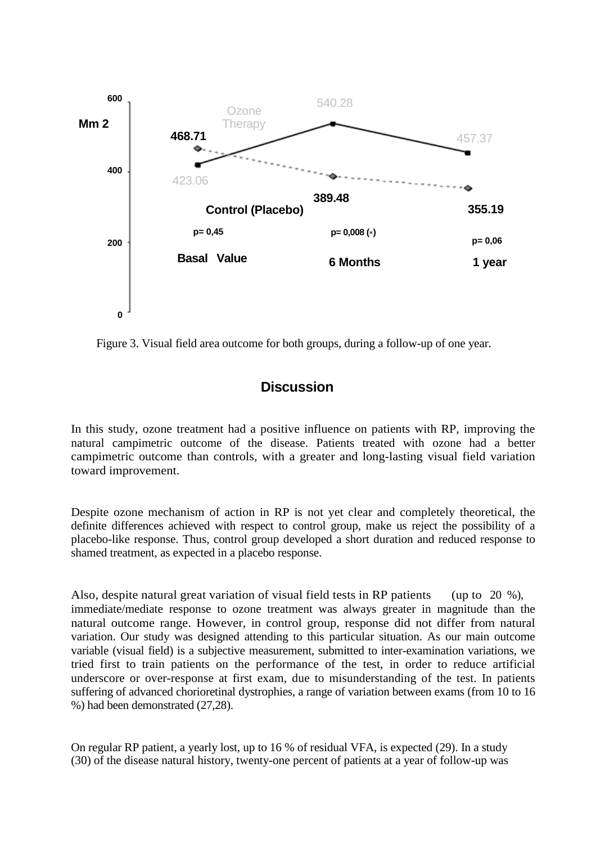

Figure 3. Visual field area outcome for both groups, during a follow-up of one year.

# **Discussion**

In this study, ozone treatment had a positive influence on patients with RP, improving the natural campimetric outcome of the disease. Patients treated with ozone had a better campimetric outcome than controls, with a greater and long-lasting visual field variation toward improvement.

Despite ozone mechanism of action in RP is not yet clear and completely theoretical, the definite differences achieved with respect to control group, make us reject the possibility of a placebo-like response. Thus, control group developed a short duration and reduced response to shamed treatment, as expected in a placebo response.

Also, despite natural great variation of visual field tests in RP patients (up to 20 %), immediate/mediate response to ozone treatment was always greater in magnitude than the natural outcome range. However, in control group, response did not differ from natural variation. Our study was designed attending to this particular situation. As our main outcome variable (visual field) is a subjective measurement, submitted to inter-examination variations, we tried first to train patients on the performance of the test, in order to reduce artificial underscore or over-response at first exam, due to misunderstanding of the test. In patients suffering of advanced chorioretinal dystrophies, a range of variation between exams (from 10 to 16 %) had been demonstrated (27,28).

On regular RP patient, a yearly lost, up to 16 % of residual VFA, is expected (29). In a study (30) of the disease natural history, twenty-one percent of patients at a year of follow-up was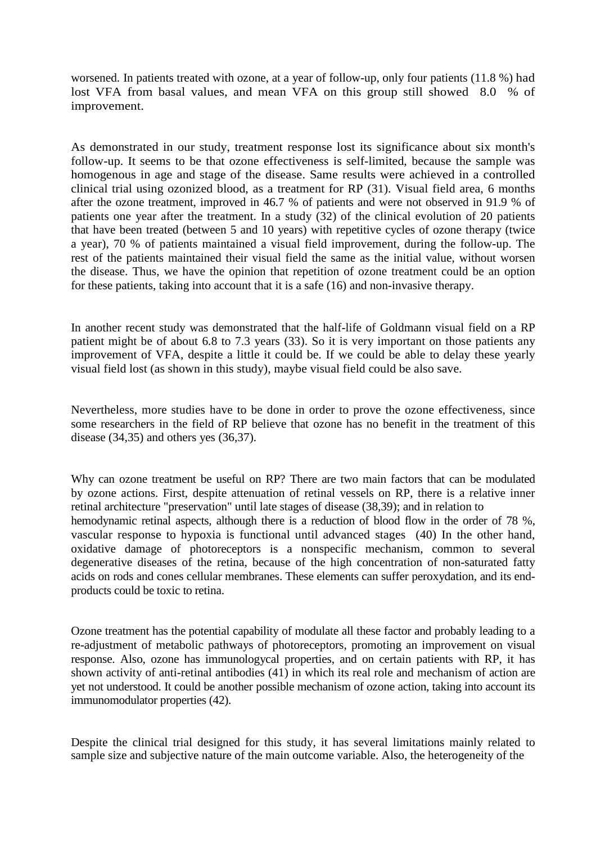worsened. In patients treated with ozone, at a year of follow-up, only four patients (11.8 %) had lost VFA from basal values, and mean VFA on this group still showed 8.0 % of improvement.

As demonstrated in our study, treatment response lost its significance about six month's follow-up. It seems to be that ozone effectiveness is self-limited, because the sample was homogenous in age and stage of the disease. Same results were achieved in a controlled clinical trial using ozonized blood, as a treatment for RP (31). Visual field area, 6 months after the ozone treatment, improved in 46.7 % of patients and were not observed in 91.9 % of patients one year after the treatment. In a study (32) of the clinical evolution of 20 patients that have been treated (between 5 and 10 years) with repetitive cycles of ozone therapy (twice a year), 70 % of patients maintained a visual field improvement, during the follow-up. The rest of the patients maintained their visual field the same as the initial value, without worsen the disease. Thus, we have the opinion that repetition of ozone treatment could be an option for these patients, taking into account that it is a safe (16) and non-invasive therapy.

In another recent study was demonstrated that the half-life of Goldmann visual field on a RP patient might be of about 6.8 to 7.3 years (33). So it is very important on those patients any improvement of VFA, despite a little it could be. If we could be able to delay these yearly visual field lost (as shown in this study), maybe visual field could be also save.

Nevertheless, more studies have to be done in order to prove the ozone effectiveness, since some researchers in the field of RP believe that ozone has no benefit in the treatment of this disease (34,35) and others yes (36,37).

Why can ozone treatment be useful on RP? There are two main factors that can be modulated by ozone actions. First, despite attenuation of retinal vessels on RP, there is a relative inner retinal architecture "preservation" until late stages of disease (38,39); and in relation to hemodynamic retinal aspects, although there is a reduction of blood flow in the order of 78 %, vascular response to hypoxia is functional until advanced stages (40) In the other hand, oxidative damage of photoreceptors is a nonspecific mechanism, common to several degenerative diseases of the retina, because of the high concentration of non-saturated fatty acids on rods and cones cellular membranes. These elements can suffer peroxydation, and its endproducts could be toxic to retina.

Ozone treatment has the potential capability of modulate all these factor and probably leading to a re-adjustment of metabolic pathways of photoreceptors, promoting an improvement on visual response. Also, ozone has immunologycal properties, and on certain patients with RP, it has shown activity of anti-retinal antibodies (41) in which its real role and mechanism of action are yet not understood. It could be another possible mechanism of ozone action, taking into account its immunomodulator properties (42).

Despite the clinical trial designed for this study, it has several limitations mainly related to sample size and subjective nature of the main outcome variable. Also, the heterogeneity of the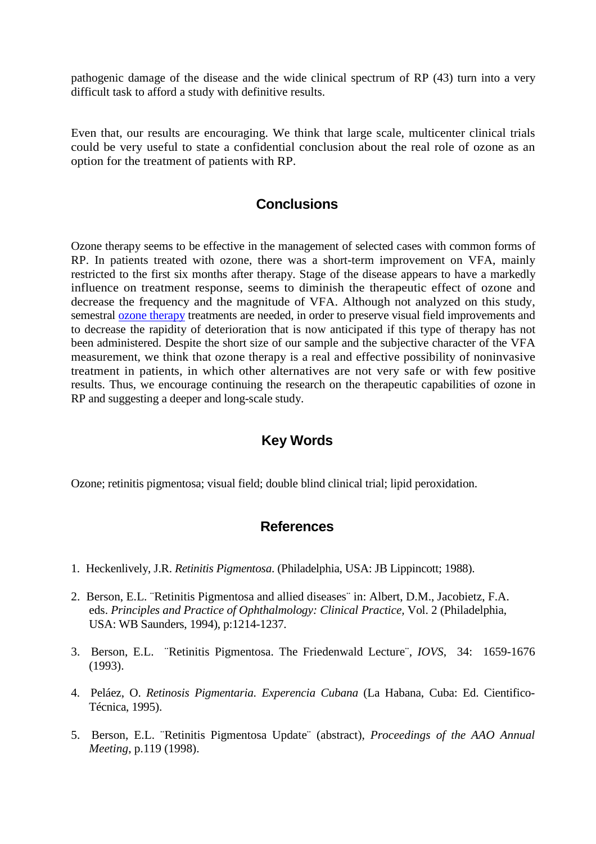pathogenic damage of the disease and the wide clinical spectrum of RP (43) turn into a very difficult task to afford a study with definitive results.

Even that, our results are encouraging. We think that large scale, multicenter clinical trials could be very useful to state a confidential conclusion about the real role of ozone as an option for the treatment of patients with RP.

#### **Conclusions**

Ozone therapy seems to be effective in the management of selected cases with common forms of RP. In patients treated with ozone, there was a short-term improvement on VFA, mainly restricted to the first six months after therapy. Stage of the disease appears to have a markedly influence on treatment response, seems to diminish the therapeutic effect of ozone and decrease the frequency and the magnitude of VFA. Although not analyzed on this study, semestral [ozone therapy](http://www.ozonemachine.org/) treatments are needed, in order to preserve visual field improvements and to decrease the rapidity of deterioration that is now anticipated if this type of therapy has not been administered. Despite the short size of our sample and the subjective character of the VFA measurement, we think that ozone therapy is a real and effective possibility of noninvasive treatment in patients, in which other alternatives are not very safe or with few positive results. Thus, we encourage continuing the research on the therapeutic capabilities of ozone in RP and suggesting a deeper and long-scale study.

## **Key Words**

Ozone; retinitis pigmentosa; visual field; double blind clinical trial; lipid peroxidation.

#### **References**

- 1. Heckenlively, J.R. *Retinitis Pigmentosa*. (Philadelphia, USA: JB Lippincott; 1988).
- 2. Berson, E.L. ¨Retinitis Pigmentosa and allied diseases¨ in: Albert, D.M., Jacobietz, F.A. eds. *Principles and Practice of Ophthalmology: Clinical Practice,* Vol. 2 (Philadelphia, USA: WB Saunders, 1994), p:1214-1237.
- 3. Berson, E.L. ¨Retinitis Pigmentosa. The Friedenwald Lecture¨, *IOVS*, 34: 1659-1676 (1993).
- 4. Peláez, O. *Retinosis Pigmentaria. Experencia Cubana* (La Habana, Cuba: Ed. Cientifico-Técnica, 1995).
- 5. Berson, E.L. ¨Retinitis Pigmentosa Update¨ (abstract), *Proceedings of the AAO Annual Meeting*, p.119 (1998).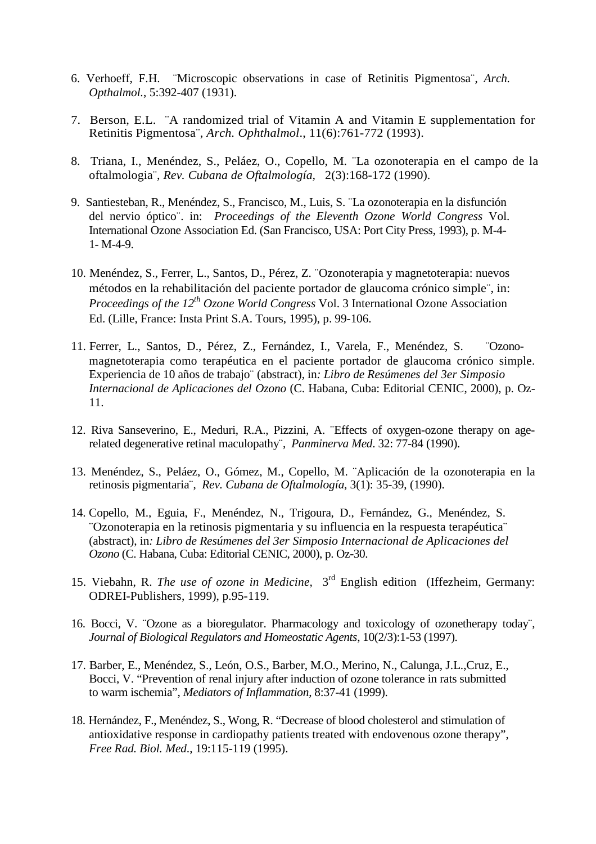- 6. Verhoeff, F.H. ¨Microscopic observations in case of Retinitis Pigmentosa¨, *Arch. Opthalmol.*, 5:392-407 (1931).
- 7. Berson, E.L. ¨A randomized trial of Vitamin A and Vitamin E supplementation for Retinitis Pigmentosa¨, *Arch. Ophthalmol*., 11(6):761-772 (1993).
- 8. Triana, I., Menéndez, S., Peláez, O., Copello, M. ¨La ozonoterapia en el campo de la oftalmologia¨, *Rev. Cubana de Oftalmología,* 2(3):168-172 (1990).
- 9. Santiesteban, R., Menéndez, S., Francisco, M., Luis, S. ¨La ozonoterapia en la disfunción del nervio óptico¨. in: *Proceedings of the Eleventh Ozone World Congress* Vol. International Ozone Association Ed. (San Francisco, USA: Port City Press, 1993), p. M-4- 1- M-4-9.
- 10. Menéndez, S., Ferrer, L., Santos, D., Pérez, Z. ¨Ozonoterapia y magnetoterapia: nuevos métodos en la rehabilitación del paciente portador de glaucoma crónico simple¨, in: *Proceedings of the 12th Ozone World Congress* Vol. 3 International Ozone Association Ed. (Lille, France: Insta Print S.A. Tours, 1995), p. 99-106.
- 11. Ferrer, L., Santos, D., Pérez, Z., Fernández, I., Varela, F., Menéndez, S. ¨Ozonomagnetoterapia como terapéutica en el paciente portador de glaucoma crónico simple. Experiencia de 10 años de trabajo¨ (abstract), in*: Libro de Resúmenes del 3er Simposio Internacional de Aplicaciones del Ozono* (C. Habana, Cuba: Editorial CENIC, 2000), p. Oz-11.
- 12. Riva Sanseverino, E., Meduri, R.A., Pizzini, A. ¨Effects of oxygen-ozone therapy on agerelated degenerative retinal maculopathy¨, *Panminerva Med*. 32: 77-84 (1990).
- 13. Menéndez, S., Peláez, O., Gómez, M., Copello, M. ¨Aplicación de la ozonoterapia en la retinosis pigmentaria¨, *Rev. Cubana de Oftalmología*, 3(1): 35-39, (1990).
- 14. Copello, M., Eguia, F., Menéndez, N., Trigoura, D., Fernández, G., Menéndez, S. ¨Ozonoterapia en la retinosis pigmentaria y su influencia en la respuesta terapéutica¨ (abstract), in*: Libro de Resúmenes del 3er Simposio Internacional de Aplicaciones del Ozono* (C. Habana, Cuba: Editorial CENIC, 2000), p. Oz-30.
- 15. Viebahn, R. *The use of ozone in Medicine,* 3rd English edition (Iffezheim, Germany: ODREI-Publishers, 1999), p.95-119.
- 16. Bocci, V. ¨Ozone as a bioregulator. Pharmacology and toxicology of ozonetherapy today¨, *Journal of Biological Regulators and Homeostatic Agents*, 10(2/3):1-53 (1997).
- 17. Barber, E., Menéndez, S., León, O.S., Barber, M.O., Merino, N., Calunga, J.L.,Cruz, E., Bocci, V. "Prevention of renal injury after induction of ozone tolerance in rats submitted to warm ischemia", *Mediators of Inflammation*, 8:37-41 (1999).
- 18. Hernández, F., Menéndez, S., Wong, R. "Decrease of blood cholesterol and stimulation of antioxidative response in cardiopathy patients treated with endovenous ozone therapy", *Free Rad. Biol. Med*., 19:115-119 (1995).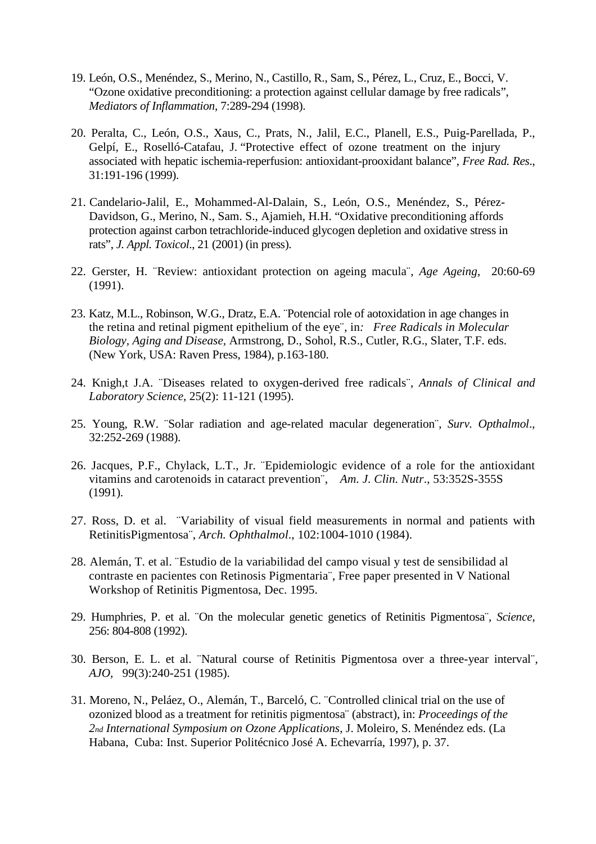- 19. León, O.S., Menéndez, S., Merino, N., Castillo, R., Sam, S., Pérez, L., Cruz, E., Bocci, V. "Ozone oxidative preconditioning: a protection against cellular damage by free radicals", *Mediators of Inflammation*, 7:289-294 (1998).
- 20. Peralta, C., León, O.S., Xaus, C., Prats, N., Jalil, E.C., Planell, E.S., Puig-Parellada, P., Gelpí, E., Roselló-Catafau, J. "Protective effect of ozone treatment on the injury associated with hepatic ischemia-reperfusion: antioxidant-prooxidant balance", *Free Rad. Res*., 31:191-196 (1999).
- 21. Candelario-Jalil, E., Mohammed-Al-Dalain, S., León, O.S., Menéndez, S., Pérez-Davidson, G., Merino, N., Sam. S., Ajamieh, H.H. "Oxidative preconditioning affords protection against carbon tetrachloride-induced glycogen depletion and oxidative stress in rats", *J. Appl. Toxicol*., 21 (2001) (in press).
- 22. Gerster, H. ¨Review: antioxidant protection on ageing macula¨, *Age Ageing*, 20:60-69 (1991).
- 23. Katz, M.L., Robinson, W.G., Dratz, E.A. ¨Potencial role of aotoxidation in age changes in the retina and retinal pigment epithelium of the eye¨, in*: Free Radicals in Molecular Biology, Aging and Disease,* Armstrong, D., Sohol, R.S., Cutler, R.G., Slater, T.F. eds. (New York, USA: Raven Press, 1984), p.163-180.
- 24. Knigh,t J.A. ¨Diseases related to oxygen-derived free radicals¨, *Annals of Clinical and Laboratory Science,* 25(2): 11-121 (1995).
- 25. Young, R.W. ¨Solar radiation and age-related macular degeneration¨, *Surv. Opthalmol*., 32:252-269 (1988).
- 26. Jacques, P.F., Chylack, L.T., Jr. ¨Epidemiologic evidence of a role for the antioxidant vitamins and carotenoids in cataract prevention¨, *Am. J. Clin. Nutr*., 53:352S-355S (1991).
- 27. Ross, D. et al. ¨Variability of visual field measurements in normal and patients with RetinitisPigmentosa¨, *Arch. Ophthalmol*., 102:1004-1010 (1984).
- 28. Alemán, T. et al. ¨Estudio de la variabilidad del campo visual y test de sensibilidad al contraste en pacientes con Retinosis Pigmentaria¨, Free paper presented in V National Workshop of Retinitis Pigmentosa, Dec. 1995.
- 29. Humphries, P. et al. ¨On the molecular genetic genetics of Retinitis Pigmentosa¨, *Science,*  256: 804-808 (1992).
- 30. Berson, E. L. et al. ¨Natural course of Retinitis Pigmentosa over a three-year interval¨, *AJO,* 99(3):240-251 (1985).
- 31. Moreno, N., Peláez, O., Alemán, T., Barceló, C. ¨Controlled clinical trial on the use of ozonized blood as a treatment for retinitis pigmentosa¨ (abstract), in: *Proceedings of the 2nd International Symposium on Ozone Applications*, J. Moleiro, S. Menéndez eds. (La Habana, Cuba: Inst. Superior Politécnico José A. Echevarría, 1997), p. 37.